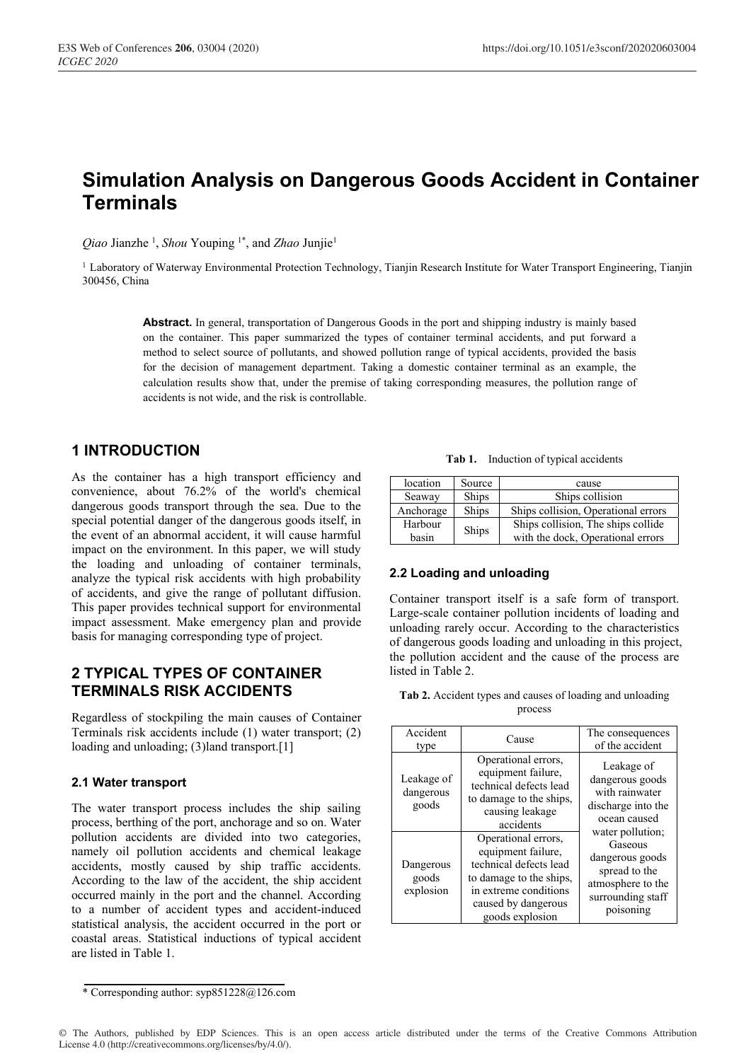# **Simulation Analysis on Dangerous Goods Accident in Container Terminals**

*Qiao* Jianzhe <sup>1</sup> , *Shou* Youping 1\*, and *Zhao* Junjie1

<sup>1</sup> Laboratory of Waterway Environmental Protection Technology, Tianjin Research Institute for Water Transport Engineering, Tianjin 300456, China

**Abstract.** In general, transportation of Dangerous Goods in the port and shipping industry is mainly based on the container. This paper summarized the types of container terminal accidents, and put forward a method to select source of pollutants, and showed pollution range of typical accidents, provided the basis for the decision of management department. Taking a domestic container terminal as an example, the calculation results show that, under the premise of taking corresponding measures, the pollution range of accidents is not wide, and the risk is controllable.

# **1 INTRODUCTION**

As the container has a high transport efficiency and convenience, about 76.2% of the world's chemical dangerous goods transport through the sea. Due to the special potential danger of the dangerous goods itself, in the event of an abnormal accident, it will cause harmful impact on the environment. In this paper, we will study the loading and unloading of container terminals, analyze the typical risk accidents with high probability of accidents, and give the range of pollutant diffusion. This paper provides technical support for environmental impact assessment. Make emergency plan and provide basis for managing corresponding type of project.

# **2 TYPICAL TYPES OF CONTAINER TERMINALS RISK ACCIDENTS**

Regardless of stockpiling the main causes of Container Terminals risk accidents include (1) water transport; (2) loading and unloading; (3)land transport.[1]

### **2.1 Water transport**

The water transport process includes the ship sailing process, berthing of the port, anchorage and so on. Water pollution accidents are divided into two categories, namely oil pollution accidents and chemical leakage accidents, mostly caused by ship traffic accidents. According to the law of the accident, the ship accident occurred mainly in the port and the channel. According to a number of accident types and accident-induced statistical analysis, the accident occurred in the port or coastal areas. Statistical inductions of typical accident are listed in Table 1.

| Tab 1. Induction of typical accidents |  |
|---------------------------------------|--|
|---------------------------------------|--|

| location  | Source       | cause                               |  |
|-----------|--------------|-------------------------------------|--|
| Seaway    | <b>Ships</b> | Ships collision                     |  |
| Anchorage | Ships        | Ships collision, Operational errors |  |
| Harbour   |              | Ships collision, The ships collide  |  |
| basin     | Ships        | with the dock, Operational errors   |  |

### **2.2 Loading and unloading**

Container transport itself is a safe form of transport. Large-scale container pollution incidents of loading and unloading rarely occur. According to the characteristics of dangerous goods loading and unloading in this project, the pollution accident and the cause of the process are listed in Table 2.

**Tab 2.** Accident types and causes of loading and unloading process

| Accident<br>type                 | Cause                                                                                                                                                             | The consequences<br>of the accident                                                                                    |  |
|----------------------------------|-------------------------------------------------------------------------------------------------------------------------------------------------------------------|------------------------------------------------------------------------------------------------------------------------|--|
| Leakage of<br>dangerous<br>goods | Operational errors,<br>equipment failure,<br>technical defects lead<br>to damage to the ships,<br>causing leakage<br>accidents                                    | Leakage of<br>dangerous goods<br>with rainwater<br>discharge into the<br>ocean caused                                  |  |
| Dangerous<br>goods<br>explosion  | Operational errors,<br>equipment failure,<br>technical defects lead<br>to damage to the ships,<br>in extreme conditions<br>caused by dangerous<br>goods explosion | water pollution;<br>Gaseous<br>dangerous goods<br>spread to the<br>atmosphere to the<br>surrounding staff<br>poisoning |  |

<sup>\*</sup> Corresponding author: syp851228@126.com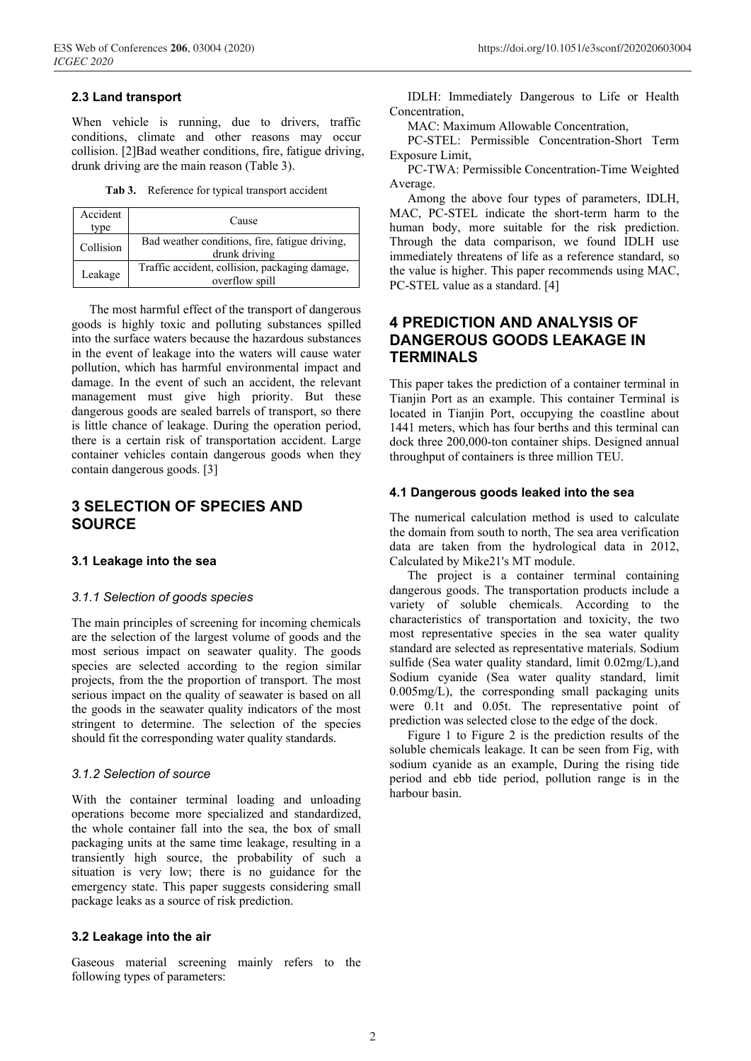#### **2.3 Land transport**

When vehicle is running, due to drivers, traffic conditions, climate and other reasons may occur collision. [2]Bad weather conditions, fire, fatigue driving, drunk driving are the main reason (Table 3).

**Tab 3.** Reference for typical transport accident

| Accident<br>type | Cause                                                            |
|------------------|------------------------------------------------------------------|
| Collision        | Bad weather conditions, fire, fatigue driving,<br>drunk driving  |
| Leakage          | Traffic accident, collision, packaging damage,<br>overflow spill |

The most harmful effect of the transport of dangerous goods is highly toxic and polluting substances spilled into the surface waters because the hazardous substances in the event of leakage into the waters will cause water pollution, which has harmful environmental impact and damage. In the event of such an accident, the relevant management must give high priority. But these dangerous goods are sealed barrels of transport, so there is little chance of leakage. During the operation period, there is a certain risk of transportation accident. Large container vehicles contain dangerous goods when they contain dangerous goods. [3]

## **3 SELECTION OF SPECIES AND SOURCE**

#### **3.1 Leakage into the sea**

#### *3.1.1 Selection of goods species*

The main principles of screening for incoming chemicals are the selection of the largest volume of goods and the most serious impact on seawater quality. The goods species are selected according to the region similar projects, from the the proportion of transport. The most serious impact on the quality of seawater is based on all the goods in the seawater quality indicators of the most stringent to determine. The selection of the species should fit the corresponding water quality standards.

#### *3.1.2 Selection of source*

With the container terminal loading and unloading operations become more specialized and standardized, the whole container fall into the sea, the box of small packaging units at the same time leakage, resulting in a transiently high source, the probability of such a situation is very low; there is no guidance for the emergency state. This paper suggests considering small package leaks as a source of risk prediction.

#### **3.2 Leakage into the air**

Gaseous material screening mainly refers to the following types of parameters:

IDLH: Immediately Dangerous to Life or Health Concentration,

MAC: Maximum Allowable Concentration,

PC-STEL: Permissible Concentration-Short Term Exposure Limit,

PC-TWA: Permissible Concentration-Time Weighted Average.

Among the above four types of parameters, IDLH, MAC, PC-STEL indicate the short-term harm to the human body, more suitable for the risk prediction. Through the data comparison, we found IDLH use immediately threatens of life as a reference standard, so the value is higher. This paper recommends using MAC, PC-STEL value as a standard. [4]

## **4 PREDICTION AND ANALYSIS OF DANGEROUS GOODS LEAKAGE IN TERMINALS**

This paper takes the prediction of a container terminal in Tianjin Port as an example. This container Terminal is located in Tianjin Port, occupying the coastline about 1441 meters, which has four berths and this terminal can dock three 200,000-ton container ships. Designed annual throughput of containers is three million TEU.

#### **4.1 Dangerous goods leaked into the sea**

The numerical calculation method is used to calculate the domain from south to north, The sea area verification data are taken from the hydrological data in 2012, Calculated by Mike21's MT module.

The project is a container terminal containing dangerous goods. The transportation products include a variety of soluble chemicals. According to the characteristics of transportation and toxicity, the two most representative species in the sea water quality standard are selected as representative materials. Sodium sulfide (Sea water quality standard, limit 0.02mg/L),and Sodium cyanide (Sea water quality standard, limit 0.005mg/L), the corresponding small packaging units were 0.1t and 0.05t. The representative point of prediction was selected close to the edge of the dock.

Figure 1 to Figure 2 is the prediction results of the soluble chemicals leakage. It can be seen from Fig, with sodium cyanide as an example, During the rising tide period and ebb tide period, pollution range is in the harbour basin.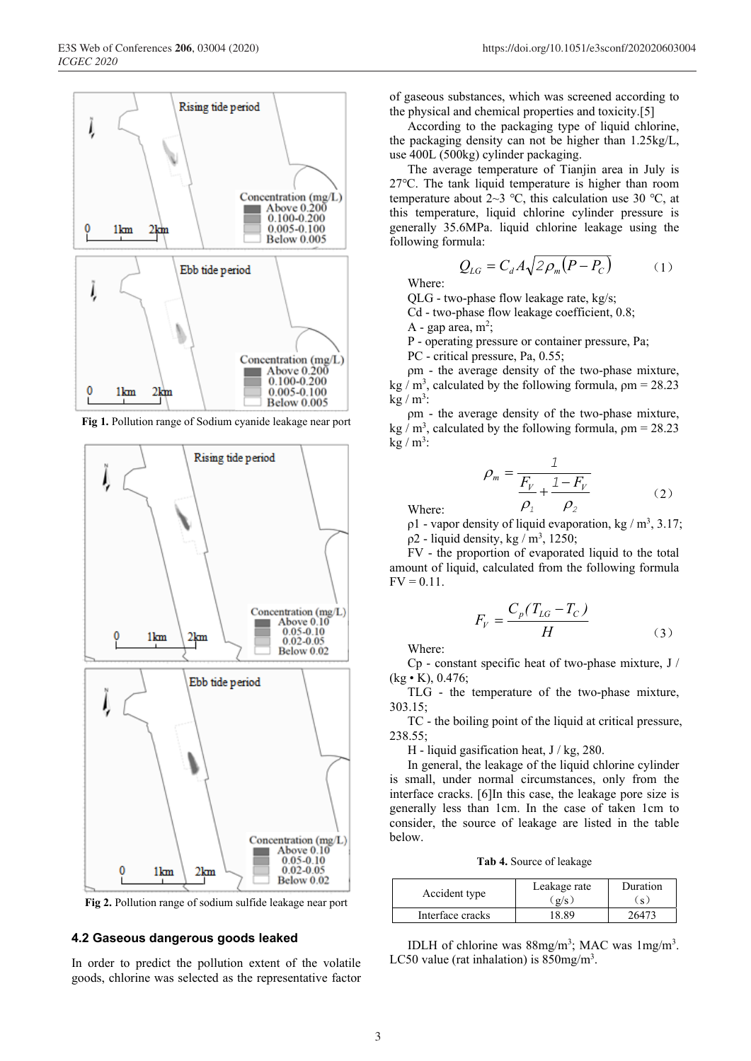

**Fig 1.** Pollution range of Sodium cyanide leakage near port



**Fig 2.** Pollution range of sodium sulfide leakage near port

#### **4.2 Gaseous dangerous goods leaked**

In order to predict the pollution extent of the volatile goods, chlorine was selected as the representative factor

of gaseous substances, which was screened according to the physical and chemical properties and toxicity.[5]

According to the packaging type of liquid chlorine, the packaging density can not be higher than 1.25kg/L, use 400L (500kg) cylinder packaging.

The average temperature of Tianjin area in July is 27℃. The tank liquid temperature is higher than room temperature about 2~3 °C, this calculation use 30 °C, at this temperature, liquid chlorine cylinder pressure is generally 35.6MPa. liquid chlorine leakage using the following formula:

$$
Q_{LG} = C_d A \sqrt{2 \rho_m (P - P_C)} \tag{1}
$$

Where:

QLG - two-phase flow leakage rate, kg/s;

Cd - two-phase flow leakage coefficient, 0.8;

A - gap area,  $m^2$ ;

P - operating pressure or container pressure, Pa;

PC - critical pressure, Pa, 0.55;

ρm - the average density of the two-phase mixture, kg / m<sup>3</sup>, calculated by the following formula,  $\rho$ m = 28.23  $kg/m^3$ :

ρm - the average density of the two-phase mixture, kg / m<sup>3</sup>, calculated by the following formula,  $\rho$ m = 28.23  $kg/m^3$ :

$$
\rho_m = \frac{1}{\frac{F_V}{\rho_1} + \frac{1 - F_V}{\rho_2}}
$$
\n(2)

Where:

 $p1$  - vapor density of liquid evaporation, kg / m<sup>3</sup>, 3.17;  $p2$  - liquid density, kg / m<sup>3</sup>, 1250;

FV - the proportion of evaporated liquid to the total amount of liquid, calculated from the following formula  $FV = 0.11$ .

$$
F_V = \frac{C_p(T_{LG} - T_C)}{H}
$$
\n(3)

Where:

Cp - constant specific heat of two-phase mixture, J /  $(kg \cdot K), 0.476;$ 

TLG - the temperature of the two-phase mixture, 303.15;

TC - the boiling point of the liquid at critical pressure, 238.55;

H - liquid gasification heat,  $J / kg$ , 280.

In general, the leakage of the liquid chlorine cylinder is small, under normal circumstances, only from the interface cracks. [6]In this case, the leakage pore size is generally less than 1cm. In the case of taken 1cm to consider, the source of leakage are listed in the table below.

**Tab 4.** Source of leakage

| Accident type    | Leakage rate<br>g/s | Duration<br>$\overline{\mathbf{s}}$ |
|------------------|---------------------|-------------------------------------|
| Interface cracks | 18 89               | 26473                               |

IDLH of chlorine was 88mg/m<sup>3</sup>; MAC was 1mg/m<sup>3</sup>. LC50 value (rat inhalation) is  $850$ mg/m<sup>3</sup>.